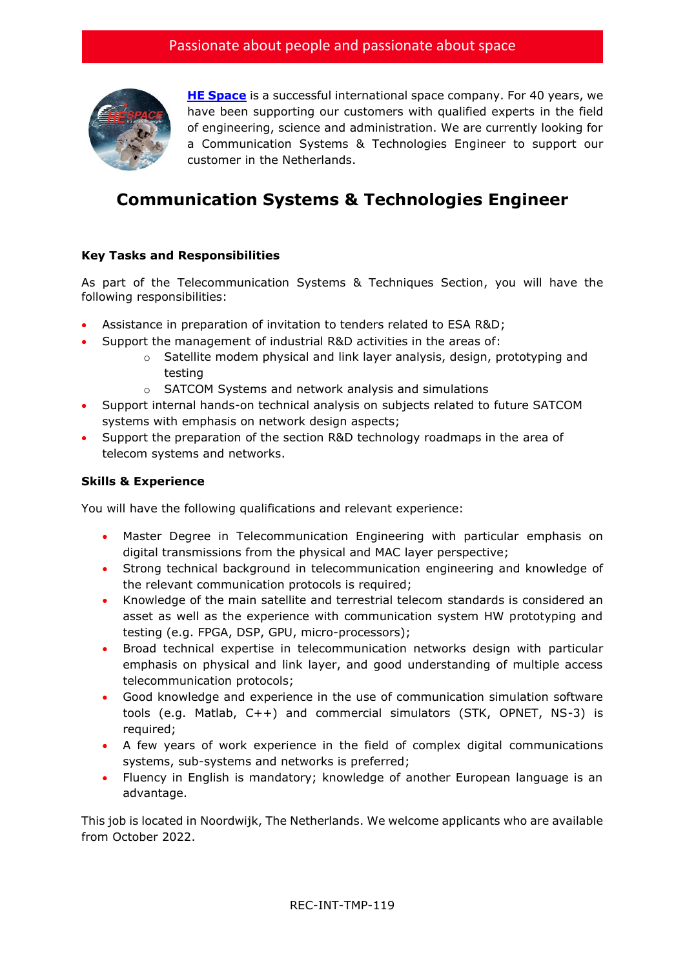

**[HE Space](http://www.hespace.com/)** is a successful international space company. For 40 years, we have been supporting our customers with qualified experts in the field of engineering, science and administration. We are currently looking for a Communication Systems & Technologies Engineer to support our customer in the Netherlands.

## **Communication Systems & Technologies Engineer**

## **Key Tasks and Responsibilities**

As part of the Telecommunication Systems & Techniques Section, you will have the following responsibilities:

- Assistance in preparation of invitation to tenders related to ESA R&D;
- Support the management of industrial R&D activities in the areas of:
	- $\circ$  Satellite modem physical and link layer analysis, design, prototyping and testing
	- o SATCOM Systems and network analysis and simulations
- Support internal hands-on technical analysis on subjects related to future SATCOM systems with emphasis on network design aspects;
- Support the preparation of the section R&D technology roadmaps in the area of telecom systems and networks.

## **Skills & Experience**

You will have the following qualifications and relevant experience:

- Master Degree in Telecommunication Engineering with particular emphasis on digital transmissions from the physical and MAC layer perspective;
- Strong technical background in telecommunication engineering and knowledge of the relevant communication protocols is required;
- Knowledge of the main satellite and terrestrial telecom standards is considered an asset as well as the experience with communication system HW prototyping and testing (e.g. FPGA, DSP, GPU, micro-processors);
- Broad technical expertise in telecommunication networks design with particular emphasis on physical and link layer, and good understanding of multiple access telecommunication protocols;
- Good knowledge and experience in the use of communication simulation software tools (e.g. Matlab, C++) and commercial simulators (STK, OPNET, NS-3) is required;
- A few years of work experience in the field of complex digital communications systems, sub-systems and networks is preferred;
- Fluency in English is mandatory; knowledge of another European language is an advantage.

This job is located in Noordwijk, The Netherlands. We welcome applicants who are available from October 2022.